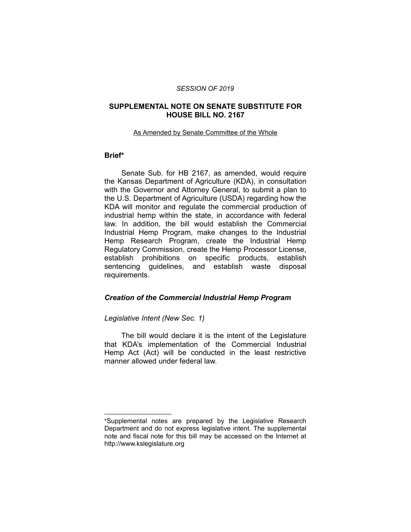#### *SESSION OF 2019*

#### **SUPPLEMENTAL NOTE ON SENATE SUBSTITUTE FOR HOUSE BILL NO. 2167**

#### As Amended by Senate Committee of the Whole

## **Brief\***

Senate Sub. for HB 2167, as amended, would require the Kansas Department of Agriculture (KDA), in consultation with the Governor and Attorney General, to submit a plan to the U.S. Department of Agriculture (USDA) regarding how the KDA will monitor and regulate the commercial production of industrial hemp within the state, in accordance with federal law. In addition, the bill would establish the Commercial Industrial Hemp Program, make changes to the Industrial Hemp Research Program, create the Industrial Hemp Regulatory Commission, create the Hemp Processor License, establish prohibitions on specific products, establish sentencing guidelines, and establish waste disposal requirements.

#### *Creation of the Commercial Industrial Hemp Program*

### *Legislative Intent (New Sec. 1)*

 $\overline{\phantom{a}}$  , where  $\overline{\phantom{a}}$  , where  $\overline{\phantom{a}}$ 

The bill would declare it is the intent of the Legislature that KDA's implementation of the Commercial Industrial Hemp Act (Act) will be conducted in the least restrictive manner allowed under federal law.

<sup>\*</sup>Supplemental notes are prepared by the Legislative Research Department and do not express legislative intent. The supplemental note and fiscal note for this bill may be accessed on the Internet at http://www.kslegislature.org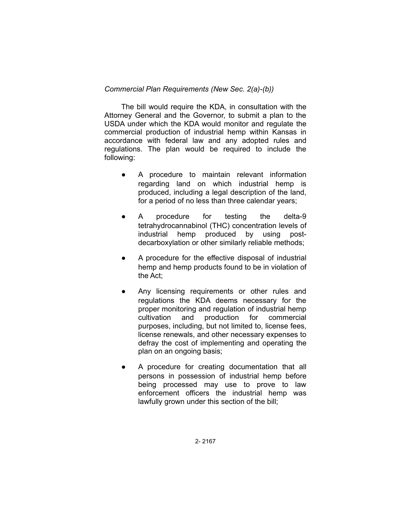### *Commercial Plan Requirements (New Sec. 2(a)-(b))*

The bill would require the KDA, in consultation with the Attorney General and the Governor, to submit a plan to the USDA under which the KDA would monitor and regulate the commercial production of industrial hemp within Kansas in accordance with federal law and any adopted rules and regulations. The plan would be required to include the following:

- A procedure to maintain relevant information regarding land on which industrial hemp is produced, including a legal description of the land, for a period of no less than three calendar years;
- A procedure for testing the delta-9 tetrahydrocannabinol (THC) concentration levels of industrial hemp produced by using postdecarboxylation or other similarly reliable methods;
- A procedure for the effective disposal of industrial hemp and hemp products found to be in violation of the Act;
- Any licensing requirements or other rules and regulations the KDA deems necessary for the proper monitoring and regulation of industrial hemp cultivation and production for commercial purposes, including, but not limited to, license fees, license renewals, and other necessary expenses to defray the cost of implementing and operating the plan on an ongoing basis;
- A procedure for creating documentation that all persons in possession of industrial hemp before being processed may use to prove to law enforcement officers the industrial hemp was lawfully grown under this section of the bill;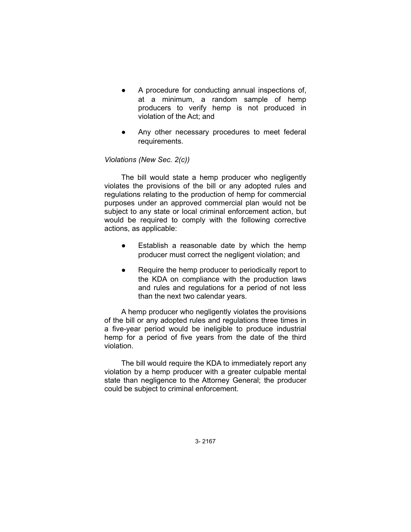- A procedure for conducting annual inspections of, at a minimum, a random sample of hemp producers to verify hemp is not produced in violation of the Act; and
- Any other necessary procedures to meet federal requirements.

### *Violations (New Sec. 2(c))*

The bill would state a hemp producer who negligently violates the provisions of the bill or any adopted rules and regulations relating to the production of hemp for commercial purposes under an approved commercial plan would not be subject to any state or local criminal enforcement action, but would be required to comply with the following corrective actions, as applicable:

- Establish a reasonable date by which the hemp producer must correct the negligent violation; and
- Require the hemp producer to periodically report to the KDA on compliance with the production laws and rules and regulations for a period of not less than the next two calendar years.

A hemp producer who negligently violates the provisions of the bill or any adopted rules and regulations three times in a five-year period would be ineligible to produce industrial hemp for a period of five years from the date of the third violation.

The bill would require the KDA to immediately report any violation by a hemp producer with a greater culpable mental state than negligence to the Attorney General; the producer could be subject to criminal enforcement.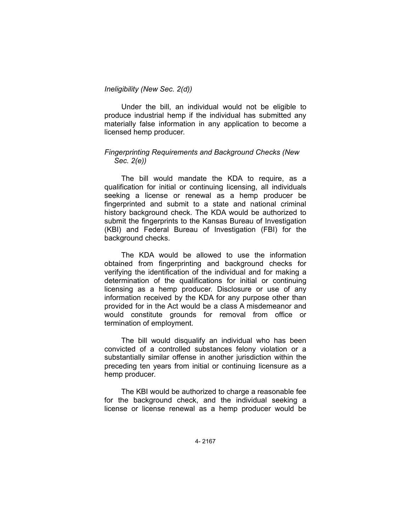## *Ineligibility (New Sec. 2(d))*

Under the bill, an individual would not be eligible to produce industrial hemp if the individual has submitted any materially false information in any application to become a licensed hemp producer.

### *Fingerprinting Requirements and Background Checks (New Sec. 2(e))*

The bill would mandate the KDA to require, as a qualification for initial or continuing licensing, all individuals seeking a license or renewal as a hemp producer be fingerprinted and submit to a state and national criminal history background check. The KDA would be authorized to submit the fingerprints to the Kansas Bureau of Investigation (KBI) and Federal Bureau of Investigation (FBI) for the background checks.

The KDA would be allowed to use the information obtained from fingerprinting and background checks for verifying the identification of the individual and for making a determination of the qualifications for initial or continuing licensing as a hemp producer. Disclosure or use of any information received by the KDA for any purpose other than provided for in the Act would be a class A misdemeanor and would constitute grounds for removal from office or termination of employment.

The bill would disqualify an individual who has been convicted of a controlled substances felony violation or a substantially similar offense in another jurisdiction within the preceding ten years from initial or continuing licensure as a hemp producer.

The KBI would be authorized to charge a reasonable fee for the background check, and the individual seeking a license or license renewal as a hemp producer would be

4- 2167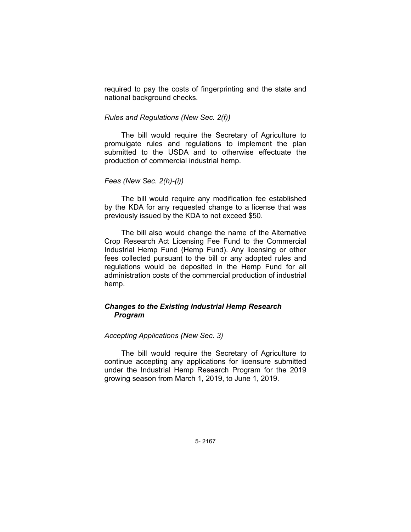required to pay the costs of fingerprinting and the state and national background checks.

#### *Rules and Regulations (New Sec. 2(f))*

The bill would require the Secretary of Agriculture to promulgate rules and regulations to implement the plan submitted to the USDA and to otherwise effectuate the production of commercial industrial hemp.

### *Fees (New Sec. 2(h)-(i))*

The bill would require any modification fee established by the KDA for any requested change to a license that was previously issued by the KDA to not exceed \$50.

The bill also would change the name of the Alternative Crop Research Act Licensing Fee Fund to the Commercial Industrial Hemp Fund (Hemp Fund). Any licensing or other fees collected pursuant to the bill or any adopted rules and regulations would be deposited in the Hemp Fund for all administration costs of the commercial production of industrial hemp.

## *Changes to the Existing Industrial Hemp Research Program*

#### *Accepting Applications (New Sec. 3)*

The bill would require the Secretary of Agriculture to continue accepting any applications for licensure submitted under the Industrial Hemp Research Program for the 2019 growing season from March 1, 2019, to June 1, 2019.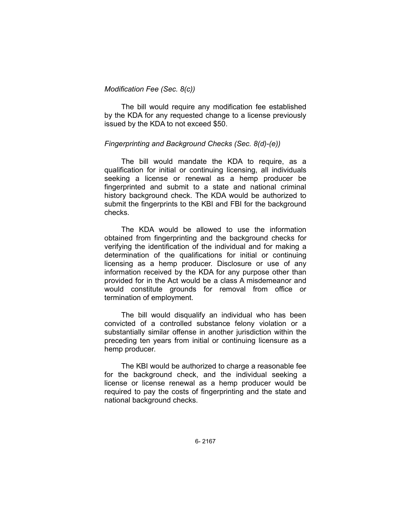### *Modification Fee (Sec. 8(c))*

The bill would require any modification fee established by the KDA for any requested change to a license previously issued by the KDA to not exceed \$50.

### *Fingerprinting and Background Checks (Sec. 8(d)-(e))*

The bill would mandate the KDA to require, as a qualification for initial or continuing licensing, all individuals seeking a license or renewal as a hemp producer be fingerprinted and submit to a state and national criminal history background check. The KDA would be authorized to submit the fingerprints to the KBI and FBI for the background checks.

The KDA would be allowed to use the information obtained from fingerprinting and the background checks for verifying the identification of the individual and for making a determination of the qualifications for initial or continuing licensing as a hemp producer. Disclosure or use of any information received by the KDA for any purpose other than provided for in the Act would be a class A misdemeanor and would constitute grounds for removal from office or termination of employment.

The bill would disqualify an individual who has been convicted of a controlled substance felony violation or a substantially similar offense in another jurisdiction within the preceding ten years from initial or continuing licensure as a hemp producer.

The KBI would be authorized to charge a reasonable fee for the background check, and the individual seeking a license or license renewal as a hemp producer would be required to pay the costs of fingerprinting and the state and national background checks.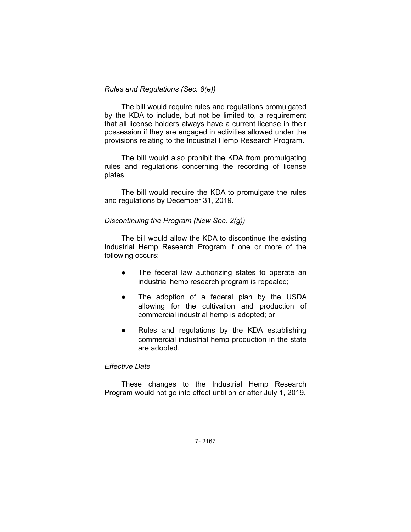### *Rules and Regulations (Sec. 8(e))*

The bill would require rules and regulations promulgated by the KDA to include, but not be limited to, a requirement that all license holders always have a current license in their possession if they are engaged in activities allowed under the provisions relating to the Industrial Hemp Research Program.

The bill would also prohibit the KDA from promulgating rules and regulations concerning the recording of license plates.

The bill would require the KDA to promulgate the rules and regulations by December 31, 2019.

#### *Discontinuing the Program (New Sec. 2(g))*

The bill would allow the KDA to discontinue the existing Industrial Hemp Research Program if one or more of the following occurs:

- The federal law authorizing states to operate an industrial hemp research program is repealed;
- The adoption of a federal plan by the USDA allowing for the cultivation and production of commercial industrial hemp is adopted; or
- Rules and regulations by the KDA establishing commercial industrial hemp production in the state are adopted.

#### *Effective Date*

These changes to the Industrial Hemp Research Program would not go into effect until on or after July 1, 2019.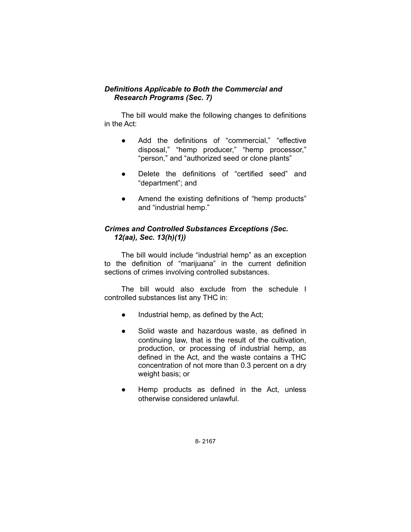# *Definitions Applicable to Both the Commercial and Research Programs (Sec. 7)*

The bill would make the following changes to definitions in the Act:

- Add the definitions of "commercial," "effective disposal," "hemp producer," "hemp processor," "person," and "authorized seed or clone plants"
- Delete the definitions of "certified seed" and "department"; and
- Amend the existing definitions of "hemp products" and "industrial hemp."

## *Crimes and Controlled Substances Exceptions (Sec. 12(aa), Sec. 13(h)(1))*

The bill would include "industrial hemp" as an exception to the definition of "marijuana" in the current definition sections of crimes involving controlled substances.

The bill would also exclude from the schedule I controlled substances list any THC in:

- Industrial hemp, as defined by the Act;
- Solid waste and hazardous waste, as defined in continuing law, that is the result of the cultivation, production, or processing of industrial hemp, as defined in the Act, and the waste contains a THC concentration of not more than 0.3 percent on a dry weight basis; or
- Hemp products as defined in the Act, unless otherwise considered unlawful.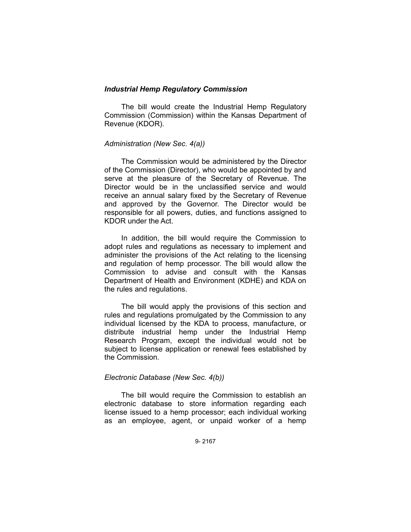#### *Industrial Hemp Regulatory Commission*

The bill would create the Industrial Hemp Regulatory Commission (Commission) within the Kansas Department of Revenue (KDOR).

### *Administration (New Sec. 4(a))*

The Commission would be administered by the Director of the Commission (Director), who would be appointed by and serve at the pleasure of the Secretary of Revenue. The Director would be in the unclassified service and would receive an annual salary fixed by the Secretary of Revenue and approved by the Governor. The Director would be responsible for all powers, duties, and functions assigned to KDOR under the Act.

In addition, the bill would require the Commission to adopt rules and regulations as necessary to implement and administer the provisions of the Act relating to the licensing and regulation of hemp processor. The bill would allow the Commission to advise and consult with the Kansas Department of Health and Environment (KDHE) and KDA on the rules and regulations.

The bill would apply the provisions of this section and rules and regulations promulgated by the Commission to any individual licensed by the KDA to process, manufacture, or distribute industrial hemp under the Industrial Hemp Research Program, except the individual would not be subject to license application or renewal fees established by the Commission.

### *Electronic Database (New Sec. 4(b))*

The bill would require the Commission to establish an electronic database to store information regarding each license issued to a hemp processor; each individual working as an employee, agent, or unpaid worker of a hemp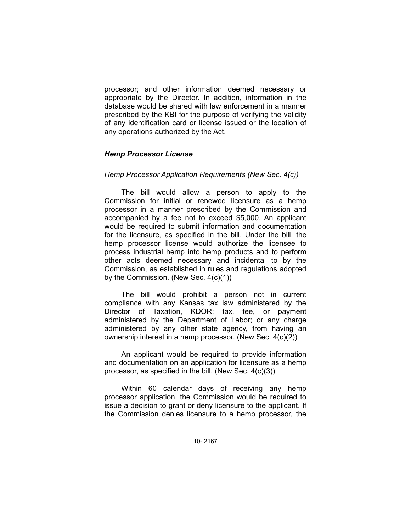processor; and other information deemed necessary or appropriate by the Director. In addition, information in the database would be shared with law enforcement in a manner prescribed by the KBI for the purpose of verifying the validity of any identification card or license issued or the location of any operations authorized by the Act.

### *Hemp Processor License*

#### *Hemp Processor Application Requirements (New Sec. 4(c))*

The bill would allow a person to apply to the Commission for initial or renewed licensure as a hemp processor in a manner prescribed by the Commission and accompanied by a fee not to exceed \$5,000. An applicant would be required to submit information and documentation for the licensure, as specified in the bill. Under the bill, the hemp processor license would authorize the licensee to process industrial hemp into hemp products and to perform other acts deemed necessary and incidental to by the Commission, as established in rules and regulations adopted by the Commission. (New Sec. 4(c)(1))

The bill would prohibit a person not in current compliance with any Kansas tax law administered by the Director of Taxation, KDOR; tax, fee, or payment administered by the Department of Labor; or any charge administered by any other state agency, from having an ownership interest in a hemp processor. (New Sec. 4(c)(2))

An applicant would be required to provide information and documentation on an application for licensure as a hemp processor, as specified in the bill. (New Sec. 4(c)(3))

Within 60 calendar days of receiving any hemp processor application, the Commission would be required to issue a decision to grant or deny licensure to the applicant. If the Commission denies licensure to a hemp processor, the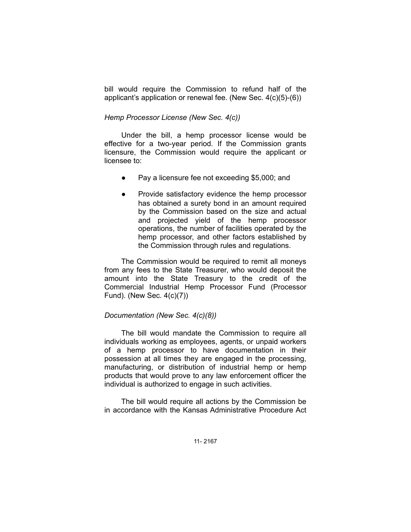bill would require the Commission to refund half of the applicant's application or renewal fee. (New Sec. 4(c)(5)-(6))

## *Hemp Processor License (New Sec. 4(c))*

Under the bill, a hemp processor license would be effective for a two-year period. If the Commission grants licensure, the Commission would require the applicant or licensee to:

- Pay a licensure fee not exceeding \$5,000; and
- Provide satisfactory evidence the hemp processor has obtained a surety bond in an amount required by the Commission based on the size and actual and projected yield of the hemp processor operations, the number of facilities operated by the hemp processor, and other factors established by the Commission through rules and regulations.

The Commission would be required to remit all moneys from any fees to the State Treasurer, who would deposit the amount into the State Treasury to the credit of the Commercial Industrial Hemp Processor Fund (Processor Fund). (New Sec. 4(c)(7))

### *Documentation (New Sec. 4(c)(8))*

The bill would mandate the Commission to require all individuals working as employees, agents, or unpaid workers of a hemp processor to have documentation in their possession at all times they are engaged in the processing, manufacturing, or distribution of industrial hemp or hemp products that would prove to any law enforcement officer the individual is authorized to engage in such activities.

The bill would require all actions by the Commission be in accordance with the Kansas Administrative Procedure Act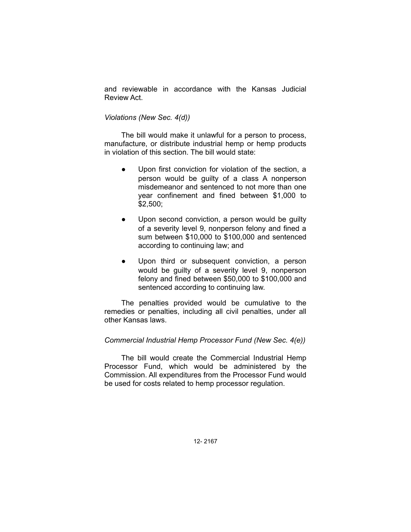and reviewable in accordance with the Kansas Judicial Review Act.

### *Violations (New Sec. 4(d))*

The bill would make it unlawful for a person to process, manufacture, or distribute industrial hemp or hemp products in violation of this section. The bill would state:

- Upon first conviction for violation of the section, a person would be guilty of a class A nonperson misdemeanor and sentenced to not more than one year confinement and fined between \$1,000 to \$2,500;
- Upon second conviction, a person would be guilty of a severity level 9, nonperson felony and fined a sum between \$10,000 to \$100,000 and sentenced according to continuing law; and
- Upon third or subsequent conviction, a person would be guilty of a severity level 9, nonperson felony and fined between \$50,000 to \$100,000 and sentenced according to continuing law.

The penalties provided would be cumulative to the remedies or penalties, including all civil penalties, under all other Kansas laws.

### *Commercial Industrial Hemp Processor Fund (New Sec. 4(e))*

The bill would create the Commercial Industrial Hemp Processor Fund, which would be administered by the Commission. All expenditures from the Processor Fund would be used for costs related to hemp processor regulation.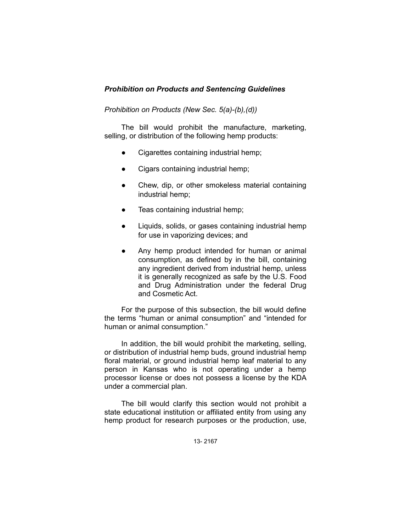# *Prohibition on Products and Sentencing Guidelines*

## *Prohibition on Products (New Sec. 5(a)-(b),(d))*

The bill would prohibit the manufacture, marketing, selling, or distribution of the following hemp products:

- Cigarettes containing industrial hemp;
- Cigars containing industrial hemp;
- Chew, dip, or other smokeless material containing industrial hemp;
- Teas containing industrial hemp;
- Liquids, solids, or gases containing industrial hemp for use in vaporizing devices; and
- Any hemp product intended for human or animal consumption, as defined by in the bill, containing any ingredient derived from industrial hemp, unless it is generally recognized as safe by the U.S. Food and Drug Administration under the federal Drug and Cosmetic Act.

For the purpose of this subsection, the bill would define the terms "human or animal consumption" and "intended for human or animal consumption."

In addition, the bill would prohibit the marketing, selling, or distribution of industrial hemp buds, ground industrial hemp floral material, or ground industrial hemp leaf material to any person in Kansas who is not operating under a hemp processor license or does not possess a license by the KDA under a commercial plan.

The bill would clarify this section would not prohibit a state educational institution or affiliated entity from using any hemp product for research purposes or the production, use,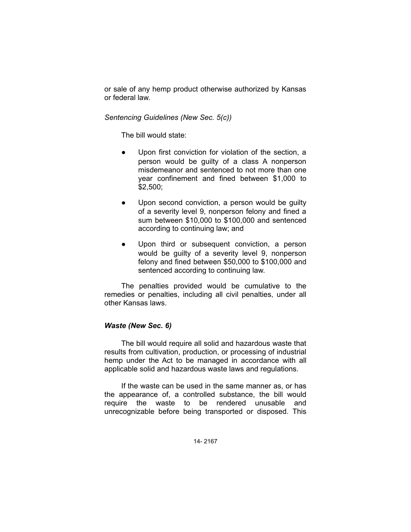or sale of any hemp product otherwise authorized by Kansas or federal law.

## *Sentencing Guidelines (New Sec. 5(c))*

The bill would state:

- Upon first conviction for violation of the section, a person would be guilty of a class A nonperson misdemeanor and sentenced to not more than one year confinement and fined between \$1,000 to \$2,500;
- Upon second conviction, a person would be guilty of a severity level 9, nonperson felony and fined a sum between \$10,000 to \$100,000 and sentenced according to continuing law; and
- Upon third or subsequent conviction, a person would be guilty of a severity level 9, nonperson felony and fined between \$50,000 to \$100,000 and sentenced according to continuing law.

The penalties provided would be cumulative to the remedies or penalties, including all civil penalties, under all other Kansas laws.

### *Waste (New Sec. 6)*

The bill would require all solid and hazardous waste that results from cultivation, production, or processing of industrial hemp under the Act to be managed in accordance with all applicable solid and hazardous waste laws and regulations.

If the waste can be used in the same manner as, or has the appearance of, a controlled substance, the bill would require the waste to be rendered unusable and unrecognizable before being transported or disposed. This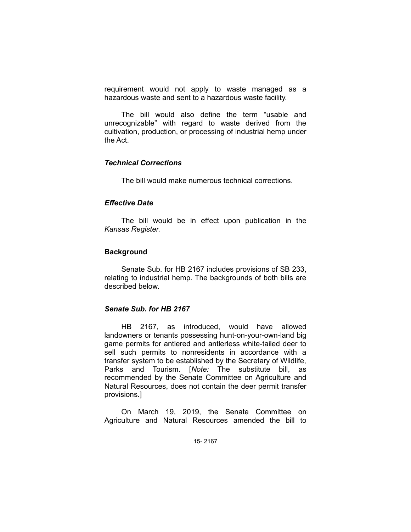requirement would not apply to waste managed as a hazardous waste and sent to a hazardous waste facility.

The bill would also define the term "usable and unrecognizable" with regard to waste derived from the cultivation, production, or processing of industrial hemp under the Act.

## *Technical Corrections*

The bill would make numerous technical corrections.

#### *Effective Date*

The bill would be in effect upon publication in the *Kansas Register.*

#### **Background**

Senate Sub. for HB 2167 includes provisions of SB 233, relating to industrial hemp. The backgrounds of both bills are described below.

#### *Senate Sub. for HB 2167*

HB 2167, as introduced, would have allowed landowners or tenants possessing hunt-on-your-own-land big game permits for antlered and antlerless white-tailed deer to sell such permits to nonresidents in accordance with a transfer system to be established by the Secretary of Wildlife, Parks and Tourism. [*Note:* The substitute bill, as recommended by the Senate Committee on Agriculture and Natural Resources, does not contain the deer permit transfer provisions.]

On March 19, 2019, the Senate Committee on Agriculture and Natural Resources amended the bill to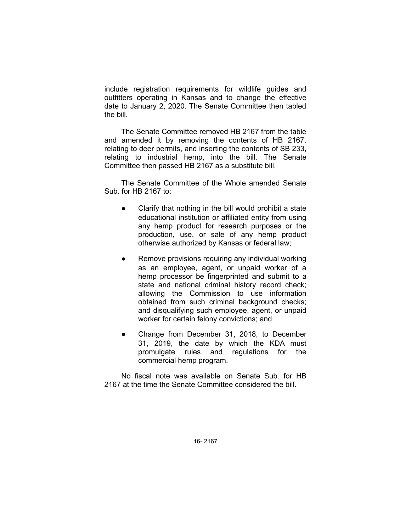include registration requirements for wildlife guides and outfitters operating in Kansas and to change the effective date to January 2, 2020. The Senate Committee then tabled the bill.

The Senate Committee removed HB 2167 from the table and amended it by removing the contents of HB 2167, relating to deer permits, and inserting the contents of SB 233, relating to industrial hemp, into the bill. The Senate Committee then passed HB 2167 as a substitute bill.

The Senate Committee of the Whole amended Senate Sub. for HB 2167 to:

- Clarify that nothing in the bill would prohibit a state educational institution or affiliated entity from using any hemp product for research purposes or the production, use, or sale of any hemp product otherwise authorized by Kansas or federal law;
- Remove provisions requiring any individual working as an employee, agent, or unpaid worker of a hemp processor be fingerprinted and submit to a state and national criminal history record check; allowing the Commission to use information obtained from such criminal background checks; and disqualifying such employee, agent, or unpaid worker for certain felony convictions; and
- Change from December 31, 2018, to December 31, 2019, the date by which the KDA must promulgate rules and regulations for the commercial hemp program.

No fiscal note was available on Senate Sub. for HB 2167 at the time the Senate Committee considered the bill.